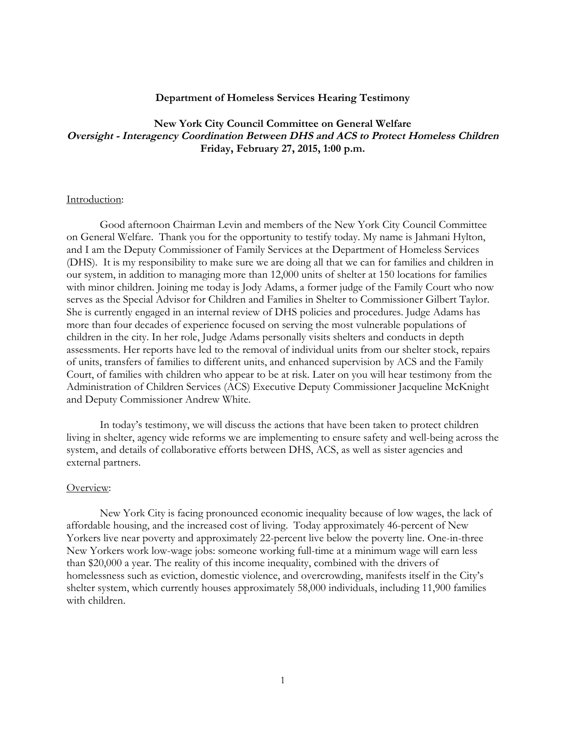### **Department of Homeless Services Hearing Testimony**

# **New York City Council Committee on General Welfare** Oversight - Interagency Coordination Between DHS and ACS to Protect Homeless Children **Friday, February 27, 2015, 1:00 p.m.**

#### Introduction:

Good afternoon Chairman Levin and members of the New York City Council Committee on General Welfare. Thank you for the opportunity to testify today. My name is Jahmani Hylton, and I am the Deputy Commissioner of Family Services at the Department of Homeless Services (DHS). It is my responsibility to make sure we are doing all that we can for families and children in our system, in addition to managing more than 12,000 units of shelter at 150 locations for families with minor children. Joining me today is Jody Adams, a former judge of the Family Court who now serves as the Special Advisor for Children and Families in Shelter to Commissioner Gilbert Taylor. She is currently engaged in an internal review of DHS policies and procedures. Judge Adams has more than four decades of experience focused on serving the most vulnerable populations of children in the city. In her role, Judge Adams personally visits shelters and conducts in depth assessments. Her reports have led to the removal of individual units from our shelter stock, repairs of units, transfers of families to different units, and enhanced supervision by ACS and the Family Court, of families with children who appear to be at risk. Later on you will hear testimony from the Administration of Children Services (ACS) Executive Deputy Commissioner Jacqueline McKnight and Deputy Commissioner Andrew White.

In today's testimony, we will discuss the actions that have been taken to protect children living in shelter, agency wide reforms we are implementing to ensure safety and well-being across the system, and details of collaborative efforts between DHS, ACS, as well as sister agencies and external partners.

#### Overview:

New York City is facing pronounced economic inequality because of low wages, the lack of affordable housing, and the increased cost of living. Today approximately 46-percent of New Yorkers live near poverty and approximately 22-percent live below the poverty line. One-in-three New Yorkers work low-wage jobs: someone working full-time at a minimum wage will earn less than \$20,000 a year. The reality of this income inequality, combined with the drivers of homelessness such as eviction, domestic violence, and overcrowding, manifests itself in the City's shelter system, which currently houses approximately 58,000 individuals, including 11,900 families with children.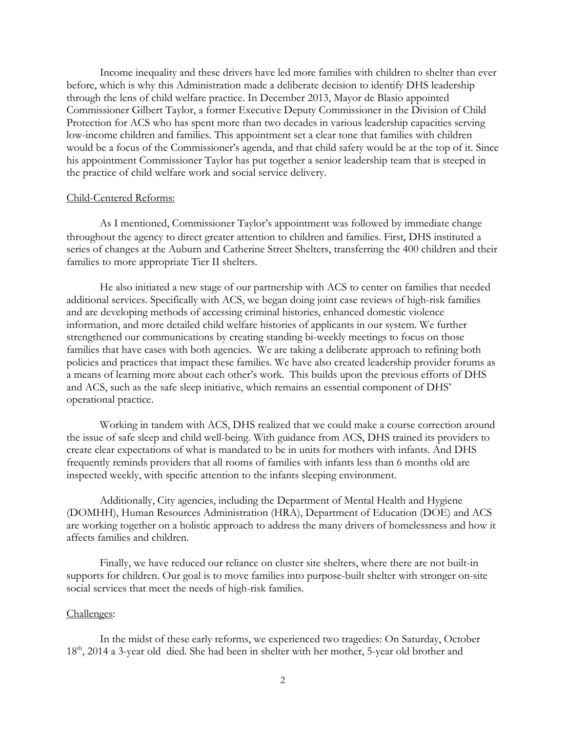Income inequality and these drivers have led more families with children to shelter than ever before, which is why this Administration made a deliberate decision to identify DHS leadership through the lens of child welfare practice. In December 2013, Mayor de Blasio appointed Commissioner Gilbert Taylor, a former Executive Deputy Commissioner in the Division of Child Protection for ACS who has spent more than two decades in various leadership capacities serving low-income children and families. This appointment set a clear tone that families with children would be a focus of the Commissioner's agenda, and that child safety would be at the top of it. Since his appointment Commissioner Taylor has put together a senior leadership team that is steeped in the practice of child welfare work and social service delivery.

#### Child-Centered Reforms:

As I mentioned, Commissioner Taylor's appointment was followed by immediate change throughout the agency to direct greater attention to children and families. First, DHS instituted a series of changes at the Auburn and Catherine Street Shelters, transferring the 400 children and their families to more appropriate Tier II shelters.

He also initiated a new stage of our partnership with ACS to center on families that needed additional services. Specifically with ACS, we began doing joint case reviews of high-risk families and are developing methods of accessing criminal histories, enhanced domestic violence information, and more detailed child welfare histories of applicants in our system. We further strengthened our communications by creating standing bi-weekly meetings to focus on those families that have cases with both agencies. We are taking a deliberate approach to refining both policies and practices that impact these families. We have also created leadership provider forums as a means of learning more about each other's work. This builds upon the previous efforts of DHS and ACS, such as the safe sleep initiative, which remains an essential component of DHS' operational practice.

Working in tandem with ACS, DHS realized that we could make a course correction around the issue of safe sleep and child well-being. With guidance from ACS, DHS trained its providers to create clear expectations of what is mandated to be in units for mothers with infants. And DHS frequently reminds providers that all rooms of families with infants less than 6 months old are inspected weekly, with specific attention to the infants sleeping environment.

Additionally, City agencies, including the Department of Mental Health and Hygiene (DOMHH), Human Resources Administration (HRA), Department of Education (DOE) and ACS are working together on a holistic approach to address the many drivers of homelessness and how it affects families and children.

Finally, we have reduced our reliance on cluster site shelters, where there are not built-in supports for children. Our goal is to move families into purpose-built shelter with stronger on-site social services that meet the needs of high-risk families.

#### Challenges:

In the midst of these early reforms, we experienced two tragedies: On Saturday, October 18th, 2014 a 3-year old died. She had been in shelter with her mother, 5-year old brother and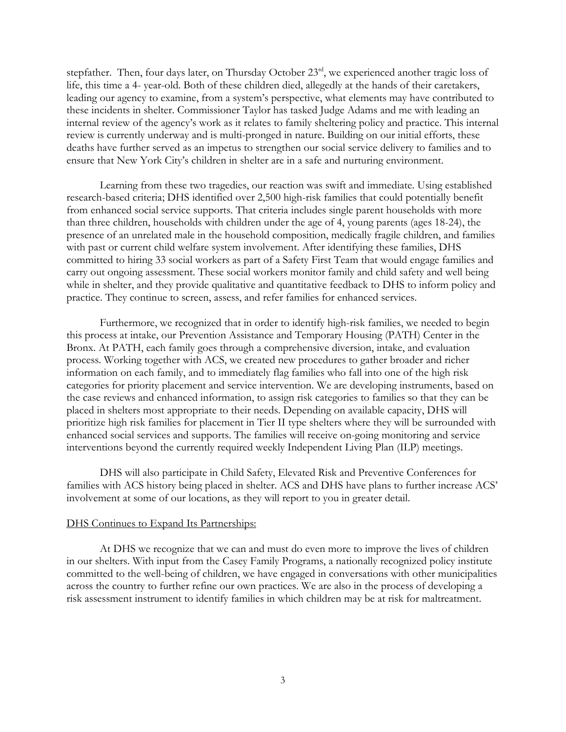stepfather. Then, four days later, on Thursday October 23<sup>rd</sup>, we experienced another tragic loss of life, this time a 4- year-old. Both of these children died, allegedly at the hands of their caretakers, leading our agency to examine, from a system's perspective, what elements may have contributed to these incidents in shelter. Commissioner Taylor has tasked Judge Adams and me with leading an internal review of the agency's work as it relates to family sheltering policy and practice. This internal review is currently underway and is multi-pronged in nature. Building on our initial efforts, these deaths have further served as an impetus to strengthen our social service delivery to families and to ensure that New York City's children in shelter are in a safe and nurturing environment.

Learning from these two tragedies, our reaction was swift and immediate. Using established research-based criteria; DHS identified over 2,500 high-risk families that could potentially benefit from enhanced social service supports. That criteria includes single parent households with more than three children, households with children under the age of 4, young parents (ages 18-24), the presence of an unrelated male in the household composition, medically fragile children, and families with past or current child welfare system involvement. After identifying these families, DHS committed to hiring 33 social workers as part of a Safety First Team that would engage families and carry out ongoing assessment. These social workers monitor family and child safety and well being while in shelter, and they provide qualitative and quantitative feedback to DHS to inform policy and practice. They continue to screen, assess, and refer families for enhanced services.

Furthermore, we recognized that in order to identify high-risk families, we needed to begin this process at intake, our Prevention Assistance and Temporary Housing (PATH) Center in the Bronx. At PATH, each family goes through a comprehensive diversion, intake, and evaluation process. Working together with ACS, we created new procedures to gather broader and richer information on each family, and to immediately flag families who fall into one of the high risk categories for priority placement and service intervention. We are developing instruments, based on the case reviews and enhanced information, to assign risk categories to families so that they can be placed in shelters most appropriate to their needs. Depending on available capacity, DHS will prioritize high risk families for placement in Tier II type shelters where they will be surrounded with enhanced social services and supports. The families will receive on-going monitoring and service interventions beyond the currently required weekly Independent Living Plan (ILP) meetings.

DHS will also participate in Child Safety, Elevated Risk and Preventive Conferences for families with ACS history being placed in shelter. ACS and DHS have plans to further increase ACS' involvement at some of our locations, as they will report to you in greater detail.

## DHS Continues to Expand Its Partnerships:

At DHS we recognize that we can and must do even more to improve the lives of children in our shelters. With input from the Casey Family Programs, a nationally recognized policy institute committed to the well-being of children, we have engaged in conversations with other municipalities across the country to further refine our own practices. We are also in the process of developing a risk assessment instrument to identify families in which children may be at risk for maltreatment.